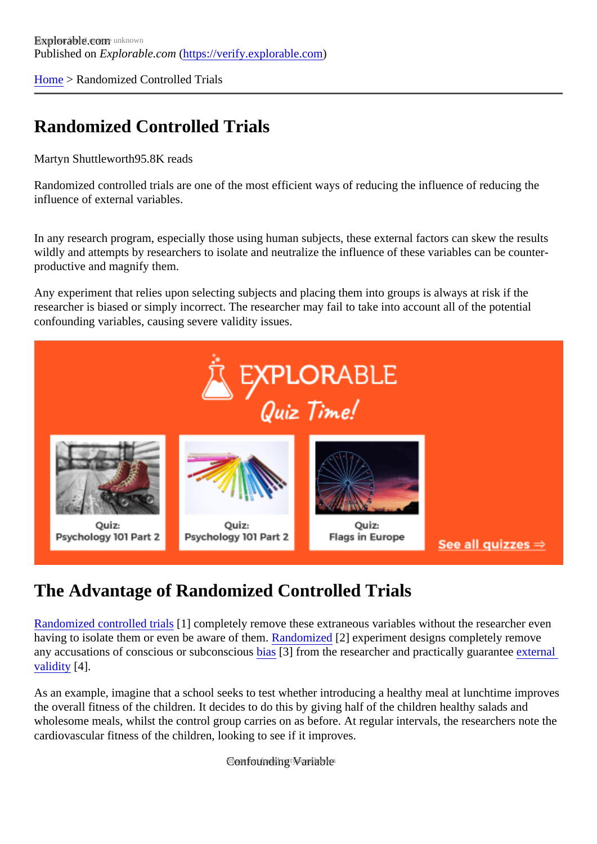[Home](https://verify.explorable.com/) > Randomized Controlled Trials

## Randomized Controlled Trials

Martyn Shuttlewort<sup>®5.8K</sup> reads

Randomized controlled trials are one of the most efficient ways of reducing the influence of reducing the influence of external variables.

In any research program, especially those using human subjects, these external factors can skew the results wildly and attempts by researchers to isolate and neutralize the influence of these variables can be counterproductive and magnify them.

Any experiment that relies upon selecting subjects and placing them into groups is always at risk if the researcher is biased or simply incorrect. The researcher may fail to take into account all of the potential confounding variables, causing severe validity issues.

## The Advantage of Randomized Controlled Trials

[Randomized controlled tria](http://en.wikipedia.org/wiki/Randomized_controlled_trial)ls completely remove these extraneous variables without the researcher even having to isolate them or even be aware of the andomized 2] experiment designs completely remove any accusations of cons[cious](https://verify.explorable.com/research-bias) or subconscious 3] from the researcher and practically guaranteernal [validity](https://verify.explorable.com/external-validity) [4].

As an example, imagine that a school seeks to test whether introducing a healthy meal at lunchtime impro the overall fitness of the children. It decides to do this by giving half of the children healthy salads and wholesome meals, whilst the control group carries on as before. At regular intervals, the researchers note cardiovascular fitness of the children, looking to see if it improves.

Gonfounding Wariable not